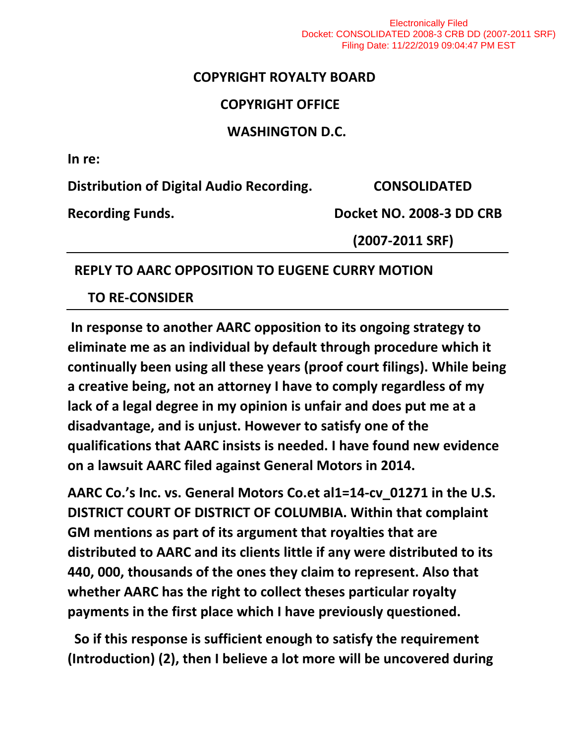Electronically Filed Docket: CONSOLIDATED 2008-3 CRB DD (2007-2011 SRF) Filing Date: 11/22/2019 09:04:47 PM EST

### **COPYRIGHT ROYALTY BOARD**

### **COPYRIGHT OFFICE**

### **WASHINGTON D.C.**

**In re:**

**Distribution of Digital Audio Recording. CONSOLIDATED** 

Recording Funds. Docket NO. 2008-3 DD CRB

 **(2007-2011 SRF)**

### **REPLY TO AARC OPPOSITION TO EUGENE CURRY MOTION**

 **TO RE-CONSIDER**

**In response to another AARC opposition to its ongoing strategy to eliminate me as an individual by default through procedure which it continually been using all these years (proof court filings). While being a creative being, not an attorney I have to comply regardless of my lack of a legal degree in my opinion is unfair and does put me at a disadvantage, and is unjust. However to satisfy one of the qualifications that AARC insists is needed. I have found new evidence on a lawsuit AARC filed against General Motors in 2014.**

**AARC Co.'s Inc. vs. General Motors Co.et al1=14-cv\_01271 in the U.S. DISTRICT COURT OF DISTRICT OF COLUMBIA. Within that complaint GM mentions as part of its argument that royalties that are distributed to AARC and its clients little if any were distributed to its 440, 000, thousands of the ones they claim to represent. Also that whether AARC has the right to collect theses particular royalty payments in the first place which I have previously questioned.**

 **So if this response is sufficient enough to satisfy the requirement (Introduction) (2), then I believe a lot more will be uncovered during**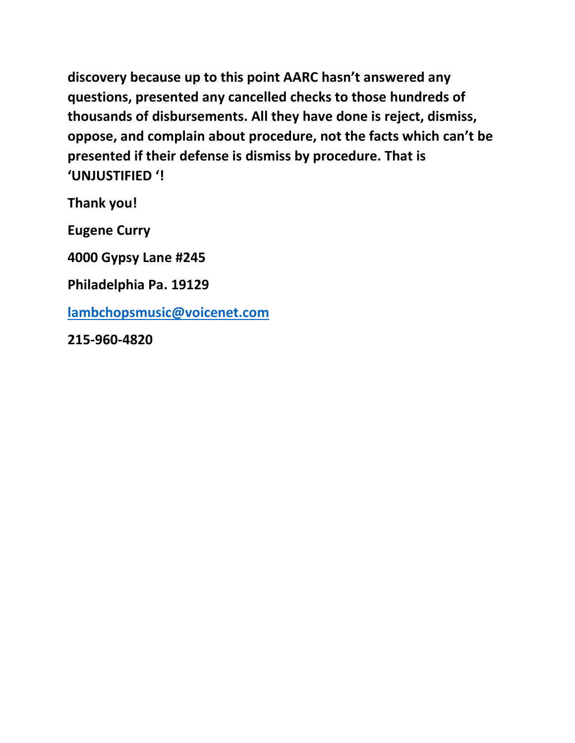**discovery because up to this point AARC hasn't answered any questions, presented any cancelled checks to those hundreds of thousands of disbursements. All they have done is reject, dismiss, oppose, and complain about procedure, not the facts which can't be presented if their defense is dismiss by procedure. That is 'UNJUSTIFIED '!**

**Thank you!**

**Eugene Curry** 

**4000 Gypsy Lane #245**

**Philadelphia Pa. 19129**

**[lambchopsmusic@voicenet.com](mailto:lambchopsmusic@voicenet.com)**

**215-960-4820**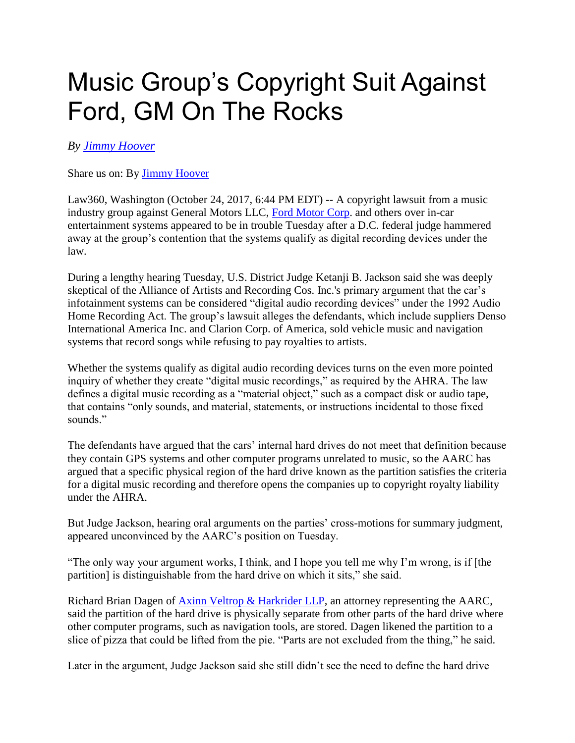# Music Group's Copyright Suit Against Ford, GM On The Rocks

### *By [Jimmy Hoover](https://www.law360.com/articles/977666/music-group-s-copyright-suit-against-ford-gm-on-the-rocks)*

Share us on: By [Jimmy Hoover](https://www.law360.com/articles/977666/music-group-s-copyright-suit-against-ford-gm-on-the-rocks)

Law360, Washington (October 24, 2017, 6:44 PM EDT) -- A copyright lawsuit from a music industry group against General Motors LLC, [Ford Motor Corp.](https://www.law360.com/companies/ford-motor-co) and others over in-car entertainment systems appeared to be in trouble Tuesday after a D.C. federal judge hammered away at the group's contention that the systems qualify as digital recording devices under the law.

During a lengthy hearing Tuesday, U.S. District Judge Ketanji B. Jackson said she was deeply skeptical of the Alliance of Artists and Recording Cos. Inc.'s primary argument that the car's infotainment systems can be considered "digital audio recording devices" under the 1992 Audio Home Recording Act. The group's lawsuit alleges the defendants, which include suppliers Denso International America Inc. and Clarion Corp. of America, sold vehicle music and navigation systems that record songs while refusing to pay royalties to artists.

Whether the systems qualify as digital audio recording devices turns on the even more pointed inquiry of whether they create "digital music recordings," as required by the AHRA. The law defines a digital music recording as a "material object," such as a compact disk or audio tape, that contains "only sounds, and material, statements, or instructions incidental to those fixed sounds."

The defendants have argued that the cars' internal hard drives do not meet that definition because they contain GPS systems and other computer programs unrelated to music, so the AARC has argued that a specific physical region of the hard drive known as the partition satisfies the criteria for a digital music recording and therefore opens the companies up to copyright royalty liability under the AHRA.

But Judge Jackson, hearing oral arguments on the parties' cross-motions for summary judgment, appeared unconvinced by the AARC's position on Tuesday.

"The only way your argument works, I think, and I hope you tell me why I'm wrong, is if [the partition] is distinguishable from the hard drive on which it sits," she said.

Richard Brian Dagen of [Axinn Veltrop & Harkrider LLP,](https://www.law360.com/firms/axinn) an attorney representing the AARC, said the partition of the hard drive is physically separate from other parts of the hard drive where other computer programs, such as navigation tools, are stored. Dagen likened the partition to a slice of pizza that could be lifted from the pie. "Parts are not excluded from the thing," he said.

Later in the argument, Judge Jackson said she still didn't see the need to define the hard drive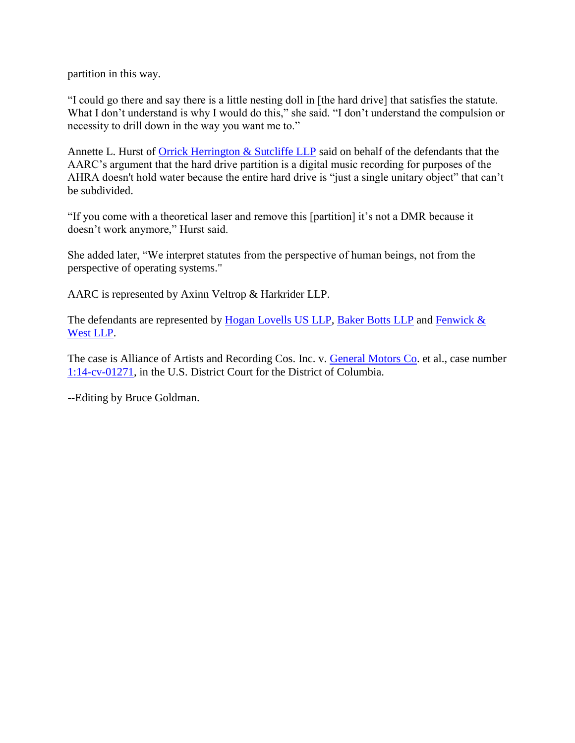partition in this way.

"I could go there and say there is a little nesting doll in [the hard drive] that satisfies the statute. What I don't understand is why I would do this," she said. "I don't understand the compulsion or necessity to drill down in the way you want me to."

Annette L. Hurst of [Orrick Herrington & Sutcliffe LLP](https://www.law360.com/firms/orrick) said on behalf of the defendants that the AARC's argument that the hard drive partition is a digital music recording for purposes of the AHRA doesn't hold water because the entire hard drive is "just a single unitary object" that can't be subdivided.

"If you come with a theoretical laser and remove this [partition] it's not a DMR because it doesn't work anymore," Hurst said.

She added later, "We interpret statutes from the perspective of human beings, not from the perspective of operating systems."

AARC is represented by Axinn Veltrop & Harkrider LLP.

The defendants are represented by [Hogan Lovells US LLP,](https://www.law360.com/firms/hogan-lovells) [Baker Botts LLP](https://www.law360.com/firms/baker-botts) and Fenwick & [West LLP.](https://www.law360.com/firms/fenwick-west)

The case is Alliance of Artists and Recording Cos. Inc. v. [General Motors Co.](https://www.law360.com/companies/general-motors-co) et al., case number [1:14-cv-01271,](https://www.law360.com/cases/53d2b02826cdbf22fb000004) in the U.S. District Court for the District of Columbia.

--Editing by Bruce Goldman.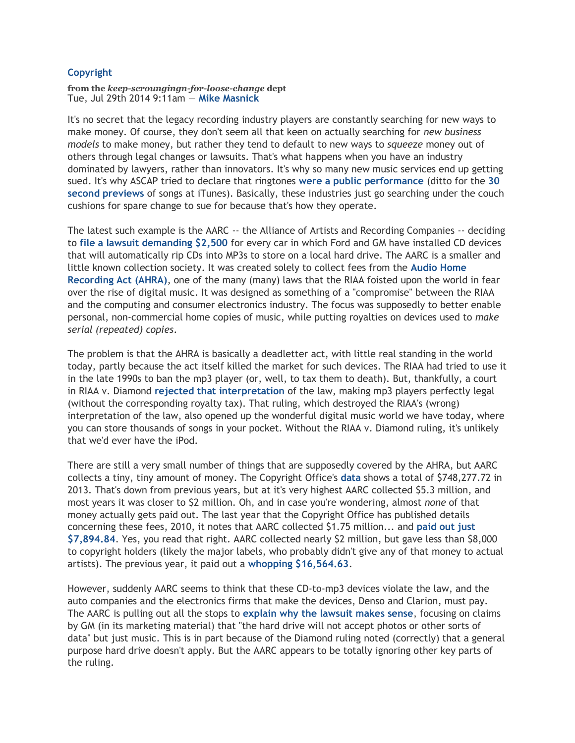#### **[Copyright](https://www.techdirt.com/search.php?tid=Copyright&search=Search)**

**from the** *keep-scroungingn-for-loose-change* **dept** Tue, Jul 29th 2014 9:11am — **[Mike Masnick](https://www.techdirt.com/user/mmasnick)**

It's no secret that the legacy recording industry players are constantly searching for new ways to make money. Of course, they don't seem all that keen on actually searching for *new business models* to make money, but rather they tend to default to new ways to *squeeze* money out of others through legal changes or lawsuits. That's what happens when you have an industry dominated by lawyers, rather than innovators. It's why so many new music services end up getting sued. It's why ASCAP tried to declare that ringtones **[were a public performance](https://www.techdirt.com/articles/20091015/1502486549.shtml)** (ditto for the **[30](https://www.techdirt.com/articles/20090917/0505016226.shtml)  [second previews](https://www.techdirt.com/articles/20090917/0505016226.shtml)** of songs at iTunes). Basically, these industries just go searching under the couch cushions for spare change to sue for because that's how they operate.

The latest such example is the AARC -- the Alliance of Artists and Recording Companies -- deciding to **[file a lawsuit demanding \\$2,500](http://www.businessweek.com/articles/2014-07-28/the-music-industry-wants-royalties-from-ford-dot-it-wont-get-them)** for every car in which Ford and GM have installed CD devices that will automatically rip CDs into MP3s to store on a local hard drive. The AARC is a smaller and little known collection society. It was created solely to collect fees from the **[Audio Home](http://en.wikipedia.org/wiki/Audio_Home_Recording_Act)  [Recording Act \(AHRA\)](http://en.wikipedia.org/wiki/Audio_Home_Recording_Act)**, one of the many (many) laws that the RIAA foisted upon the world in fear over the rise of digital music. It was designed as something of a "compromise" between the RIAA and the computing and consumer electronics industry. The focus was supposedly to better enable personal, non-commercial home copies of music, while putting royalties on devices used to *make serial (repeated) copies*.

The problem is that the AHRA is basically a deadletter act, with little real standing in the world today, partly because the act itself killed the market for such devices. The RIAA had tried to use it in the late 1990s to ban the mp3 player (or, well, to tax them to death). But, thankfully, a court in RIAA v. Diamond **[rejected that interpretation](http://www.law.cornell.edu/copyright/cases/180_F3d_1072.htm)** of the law, making mp3 players perfectly legal (without the corresponding royalty tax). That ruling, which destroyed the RIAA's (wrong) interpretation of the law, also opened up the wonderful digital music world we have today, where you can store thousands of songs in your pocket. Without the RIAA v. Diamond ruling, it's unlikely that we'd ever have the iPod.

There are still a very small number of things that are supposedly covered by the AHRA, but AARC collects a tiny, tiny amount of money. The Copyright Office's **[data](http://www.copyright.gov/licensing/lic-receipts.pdf)** shows a total of \$748,277.72 in 2013. That's down from previous years, but at it's very highest AARC collected \$5.3 million, and most years it was closer to \$2 million. Oh, and in case you're wondering, almost *none* of that money actually gets paid out. The last year that the Copyright Office has published details concerning these fees, 2010, it notes that AARC collected \$1.75 million... and **[paid out just](http://www.copyright.gov/reports/annual/2011/ar2011.pdf)  [\\$7,894.84](http://www.copyright.gov/reports/annual/2011/ar2011.pdf)**. Yes, you read that right. AARC collected nearly \$2 million, but gave less than \$8,000 to copyright holders (likely the major labels, who probably didn't give any of that money to actual artists). The previous year, it paid out a **[whopping \\$16,564.63](http://www.copyright.gov/reports/annual/2010/ar2010.pdf)**.

However, suddenly AARC seems to think that these CD-to-mp3 devices violate the law, and the auto companies and the electronics firms that make the devices, Denso and Clarion, must pay. The AARC is pulling out all the stops to **[explain why the lawsuit makes sense](http://wp.aarcroyalties.com/aarc-files-federal-class-action-lawsuit-letter-to-aarc-members/)**, focusing on claims by GM (in its marketing material) that "the hard drive will not accept photos or other sorts of data" but just music. This is in part because of the Diamond ruling noted (correctly) that a general purpose hard drive doesn't apply. But the AARC appears to be totally ignoring other key parts of the ruling.